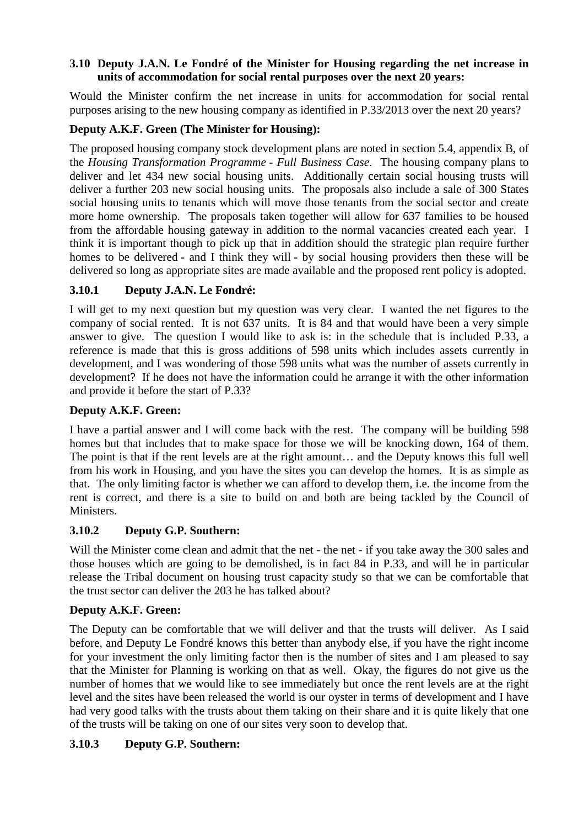### **3.10 Deputy J.A.N. Le Fondré of the Minister for Housing regarding the net increase in units of accommodation for social rental purposes over the next 20 years:**

Would the Minister confirm the net increase in units for accommodation for social rental purposes arising to the new housing company as identified in P.33/2013 over the next 20 years?

# **Deputy A.K.F. Green (The Minister for Housing):**

The proposed housing company stock development plans are noted in section 5.4, appendix B, of the *Housing Transformation Programme - Full Business Case*. The housing company plans to deliver and let 434 new social housing units. Additionally certain social housing trusts will deliver a further 203 new social housing units. The proposals also include a sale of 300 States social housing units to tenants which will move those tenants from the social sector and create more home ownership. The proposals taken together will allow for 637 families to be housed from the affordable housing gateway in addition to the normal vacancies created each year. I think it is important though to pick up that in addition should the strategic plan require further homes to be delivered - and I think they will - by social housing providers then these will be delivered so long as appropriate sites are made available and the proposed rent policy is adopted.

# **3.10.1 Deputy J.A.N. Le Fondré:**

I will get to my next question but my question was very clear. I wanted the net figures to the company of social rented. It is not 637 units. It is 84 and that would have been a very simple answer to give. The question I would like to ask is: in the schedule that is included P.33, a reference is made that this is gross additions of 598 units which includes assets currently in development, and I was wondering of those 598 units what was the number of assets currently in development? If he does not have the information could he arrange it with the other information and provide it before the start of P.33?

# **Deputy A.K.F. Green:**

I have a partial answer and I will come back with the rest. The company will be building 598 homes but that includes that to make space for those we will be knocking down, 164 of them. The point is that if the rent levels are at the right amount… and the Deputy knows this full well from his work in Housing, and you have the sites you can develop the homes. It is as simple as that. The only limiting factor is whether we can afford to develop them, i.e. the income from the rent is correct, and there is a site to build on and both are being tackled by the Council of Ministers.

# **3.10.2 Deputy G.P. Southern:**

Will the Minister come clean and admit that the net - the net - if you take away the 300 sales and those houses which are going to be demolished, is in fact 84 in P.33, and will he in particular release the Tribal document on housing trust capacity study so that we can be comfortable that the trust sector can deliver the 203 he has talked about?

### **Deputy A.K.F. Green:**

The Deputy can be comfortable that we will deliver and that the trusts will deliver. As I said before, and Deputy Le Fondré knows this better than anybody else, if you have the right income for your investment the only limiting factor then is the number of sites and I am pleased to say that the Minister for Planning is working on that as well. Okay, the figures do not give us the number of homes that we would like to see immediately but once the rent levels are at the right level and the sites have been released the world is our oyster in terms of development and I have had very good talks with the trusts about them taking on their share and it is quite likely that one of the trusts will be taking on one of our sites very soon to develop that.

# **3.10.3 Deputy G.P. Southern:**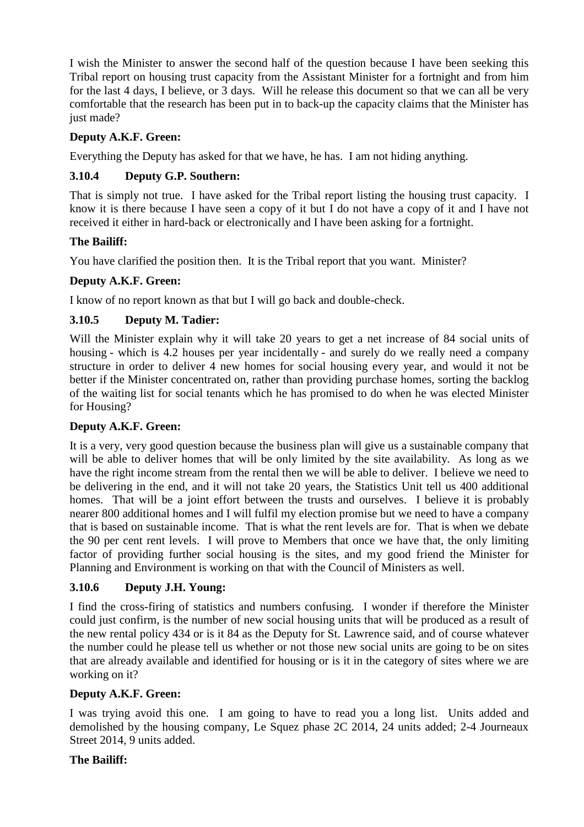I wish the Minister to answer the second half of the question because I have been seeking this Tribal report on housing trust capacity from the Assistant Minister for a fortnight and from him for the last 4 days, I believe, or 3 days. Will he release this document so that we can all be very comfortable that the research has been put in to back-up the capacity claims that the Minister has just made?

## **Deputy A.K.F. Green:**

Everything the Deputy has asked for that we have, he has. I am not hiding anything.

# **3.10.4 Deputy G.P. Southern:**

That is simply not true. I have asked for the Tribal report listing the housing trust capacity. I know it is there because I have seen a copy of it but I do not have a copy of it and I have not received it either in hard-back or electronically and I have been asking for a fortnight.

## **The Bailiff:**

You have clarified the position then. It is the Tribal report that you want. Minister?

## **Deputy A.K.F. Green:**

I know of no report known as that but I will go back and double-check.

## **3.10.5 Deputy M. Tadier:**

Will the Minister explain why it will take 20 years to get a net increase of 84 social units of housing - which is 4.2 houses per year incidentally - and surely do we really need a company structure in order to deliver 4 new homes for social housing every year, and would it not be better if the Minister concentrated on, rather than providing purchase homes, sorting the backlog of the waiting list for social tenants which he has promised to do when he was elected Minister for Housing?

### **Deputy A.K.F. Green:**

It is a very, very good question because the business plan will give us a sustainable company that will be able to deliver homes that will be only limited by the site availability. As long as we have the right income stream from the rental then we will be able to deliver. I believe we need to be delivering in the end, and it will not take 20 years, the Statistics Unit tell us 400 additional homes. That will be a joint effort between the trusts and ourselves. I believe it is probably nearer 800 additional homes and I will fulfil my election promise but we need to have a company that is based on sustainable income. That is what the rent levels are for. That is when we debate the 90 per cent rent levels. I will prove to Members that once we have that, the only limiting factor of providing further social housing is the sites, and my good friend the Minister for Planning and Environment is working on that with the Council of Ministers as well.

# **3.10.6 Deputy J.H. Young:**

I find the cross-firing of statistics and numbers confusing. I wonder if therefore the Minister could just confirm, is the number of new social housing units that will be produced as a result of the new rental policy 434 or is it 84 as the Deputy for St. Lawrence said, and of course whatever the number could he please tell us whether or not those new social units are going to be on sites that are already available and identified for housing or is it in the category of sites where we are working on it?

# **Deputy A.K.F. Green:**

I was trying avoid this one. I am going to have to read you a long list. Units added and demolished by the housing company, Le Squez phase 2C 2014, 24 units added; 2-4 Journeaux Street 2014, 9 units added.

### **The Bailiff:**